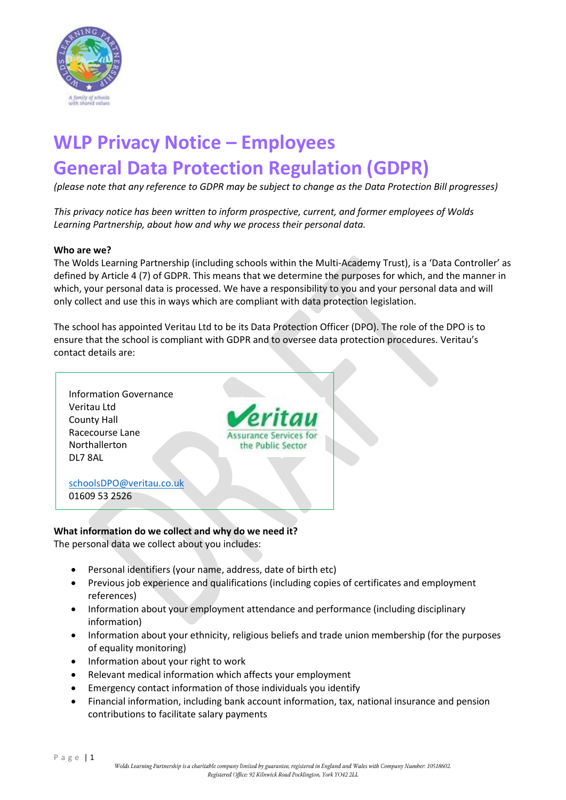

# **WLP Privacy Notice – Employees General Data Protection Regulation (GDPR)**

*(please note that any reference to GDPR may be subject to change as the Data Protection Bill progresses)*

*This privacy notice has been written to inform prospective, current, and former employees of Wolds Learning Partnership, about how and why we process their personal data.*

#### **Who are we?**

The Wolds Learning Partnership (including schools within the Multi-Academy Trust), is a 'Data Controller' as defined by Article 4 (7) of GDPR. This means that we determine the purposes for which, and the manner in which, your personal data is processed. We have a responsibility to you and your personal data and will only collect and use this in ways which are compliant with data protection legislation.

The school has appointed Veritau Ltd to be its Data Protection Officer (DPO). The role of the DPO is to ensure that the school is compliant with GDPR and to oversee data protection procedures. Veritau's contact details are:



**What information do we collect and why do we need it?** The personal data we collect about you includes:

- Personal identifiers (your name, address, date of birth etc)
- Previous job experience and qualifications (including copies of certificates and employment references)
- Information about your employment attendance and performance (including disciplinary information)
- Information about your ethnicity, religious beliefs and trade union membership (for the purposes of equality monitoring)
- Information about your right to work
- Relevant medical information which affects your employment
- Emergency contact information of those individuals you identify
- Financial information, including bank account information, tax, national insurance and pension contributions to facilitate salary payments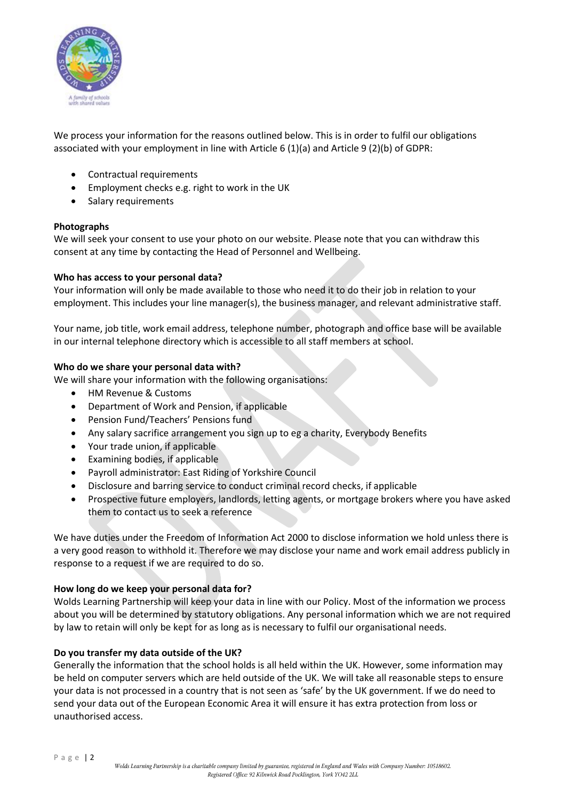

We process your information for the reasons outlined below. This is in order to fulfil our obligations associated with your employment in line with Article 6 (1)(a) and Article 9 (2)(b) of GDPR:

- Contractual requirements
- Employment checks e.g. right to work in the UK
- Salary requirements

## **Photographs**

We will seek your consent to use your photo on our website. Please note that you can withdraw this consent at any time by contacting the Head of Personnel and Wellbeing.

#### **Who has access to your personal data?**

Your information will only be made available to those who need it to do their job in relation to your employment. This includes your line manager(s), the business manager, and relevant administrative staff.

Your name, job title, work email address, telephone number, photograph and office base will be available in our internal telephone directory which is accessible to all staff members at school.

#### **Who do we share your personal data with?**

We will share your information with the following organisations:

- HM Revenue & Customs
- Department of Work and Pension, if applicable
- Pension Fund/Teachers' Pensions fund
- Any salary sacrifice arrangement you sign up to eg a charity, Everybody Benefits
- Your trade union, if applicable
- Examining bodies, if applicable
- Payroll administrator: East Riding of Yorkshire Council
- Disclosure and barring service to conduct criminal record checks, if applicable
- Prospective future employers, landlords, letting agents, or mortgage brokers where you have asked them to contact us to seek a reference

We have duties under the Freedom of Information Act 2000 to disclose information we hold unless there is a very good reason to withhold it. Therefore we may disclose your name and work email address publicly in response to a request if we are required to do so.

## **How long do we keep your personal data for?**

Wolds Learning Partnership will keep your data in line with our Policy. Most of the information we process about you will be determined by statutory obligations. Any personal information which we are not required by law to retain will only be kept for as long as is necessary to fulfil our organisational needs.

## **Do you transfer my data outside of the UK?**

Generally the information that the school holds is all held within the UK. However, some information may be held on computer servers which are held outside of the UK. We will take all reasonable steps to ensure your data is not processed in a country that is not seen as 'safe' by the UK government. If we do need to send your data out of the European Economic Area it will ensure it has extra protection from loss or unauthorised access.